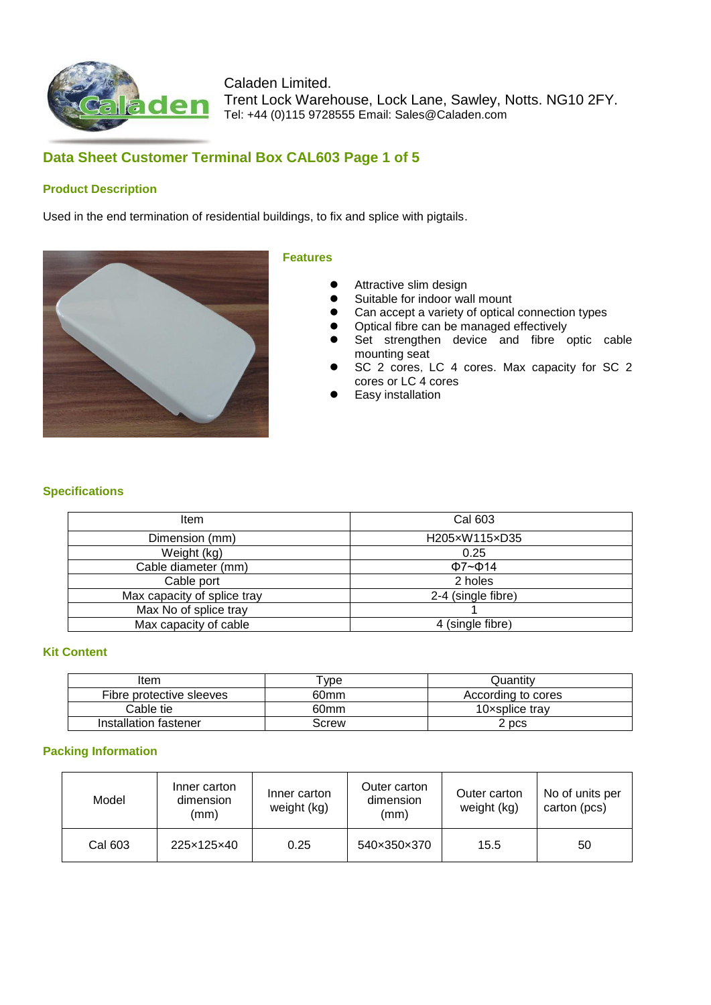

# **Data Sheet Customer Terminal Box CAL603 Page 1 of 5**

### **Product Description**

Used in the end termination of residential buildings, to fix and splice with pigtails.



#### **Features**

- **•** Attractive slim design
- **Suitable for indoor wall mount**
- Can accept a variety of optical connection types
- Optical fibre can be managed effectively
- Set strengthen device and fibre optic cable mounting seat
- SC 2 cores, LC 4 cores. Max capacity for SC 2 cores or LC 4 cores
- Easy installation

### **Specifications**

| Item                        | Cal 603             |
|-----------------------------|---------------------|
| Dimension (mm)              | H205xW115xD35       |
| Weight (kg)                 | 0.25                |
| Cable diameter (mm)         | $\Phi$ 7~ $\Phi$ 14 |
| Cable port                  | 2 holes             |
| Max capacity of splice tray | 2-4 (single fibre)  |
| Max No of splice tray       |                     |
| Max capacity of cable       | 4 (single fibre)    |

#### **Kit Content**

| Item                     | Tvpe :           | Quantitv           |
|--------------------------|------------------|--------------------|
| Fibre protective sleeves | 60 <sub>mm</sub> | According to cores |
| Cable tie                | 60 <sub>mm</sub> | 10xsplice trav     |
| Installation fastener    | Screw            | ? pcs              |

#### **Packing Information**

| Model   | Inner carton<br>dimension<br>(mm) | Inner carton<br>weight (kg) | Outer carton<br>dimension<br>(mm) | Outer carton<br>weight (kg) | No of units per<br>carton (pcs) |
|---------|-----------------------------------|-----------------------------|-----------------------------------|-----------------------------|---------------------------------|
| Cal 603 | 225×125×40                        | 0.25                        | 540×350×370                       | 15.5                        | 50                              |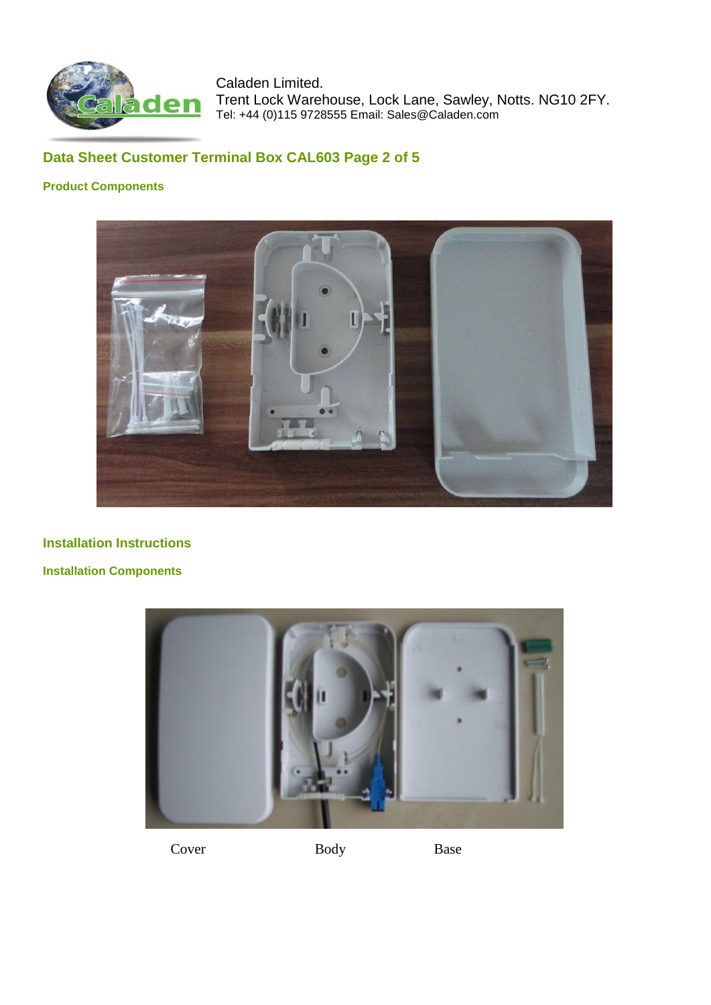

# **Data Sheet Customer Terminal Box CAL603 Page 2 of 5**

### **Product Components**



## **Installation Instructions**

### **Installation Components**



Cover Body Base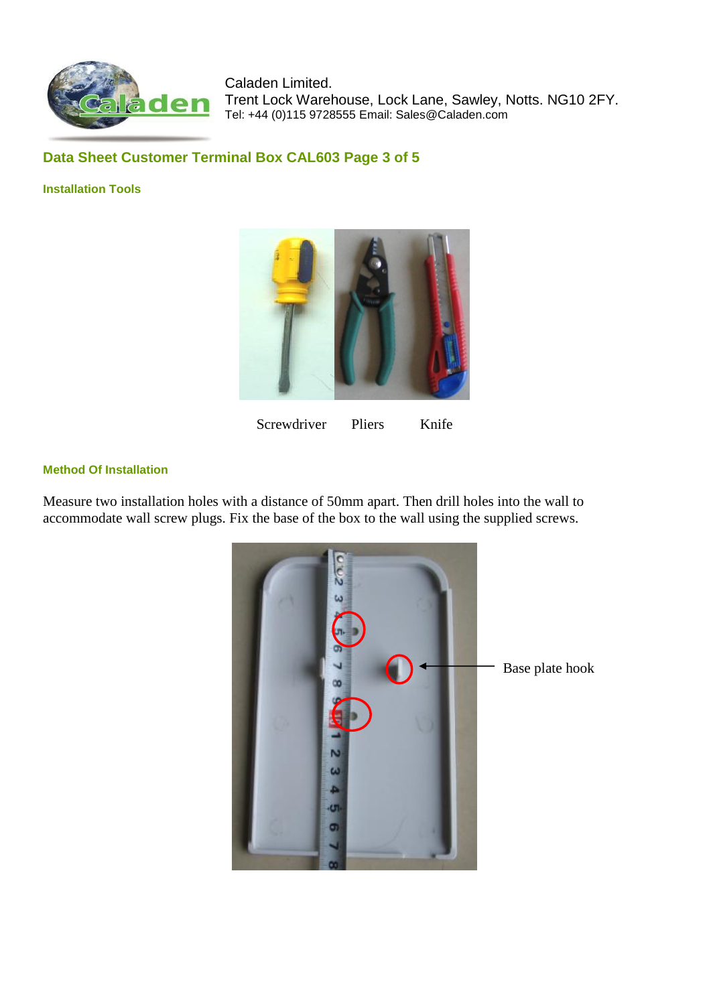

## **Data Sheet Customer Terminal Box CAL603 Page 3 of 5**

#### **Installation Tools**



## Screwdriver Pliers Knife

### **Method Of Installation**

Measure two installation holes with a distance of 50mm apart. Then drill holes into the wall to accommodate wall screw plugs. Fix the base of the box to the wall using the supplied screws.

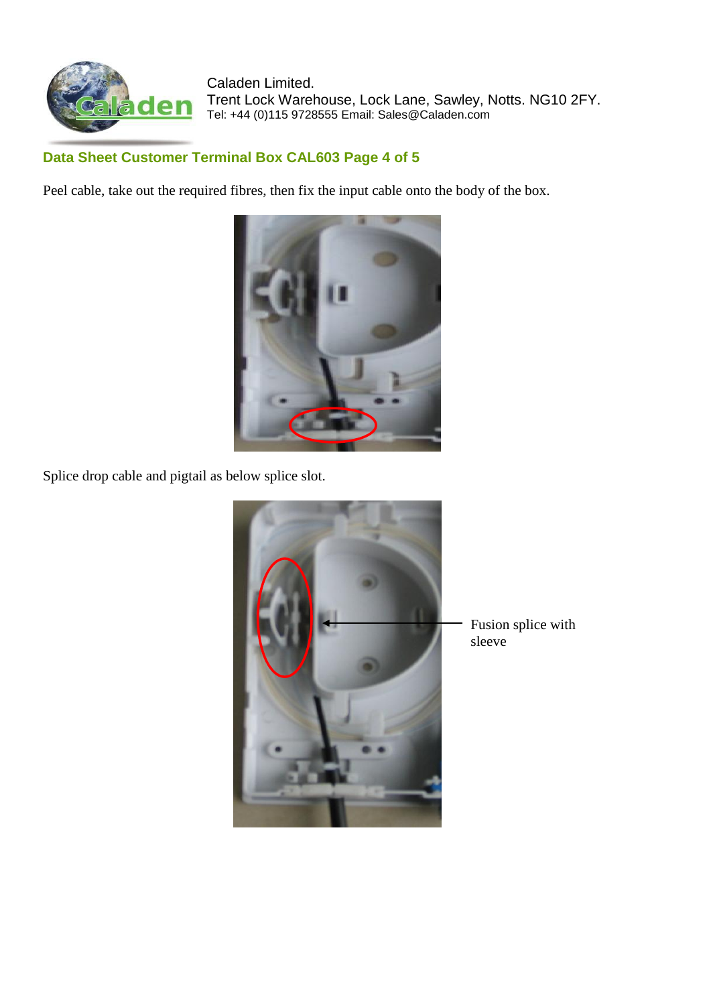

# **Data Sheet Customer Terminal Box CAL603 Page 4 of 5**

Peel cable, take out the required fibres, then fix the input cable onto the body of the box.



Splice drop cable and pigtail as below splice slot.



Fusion splice with sleeve